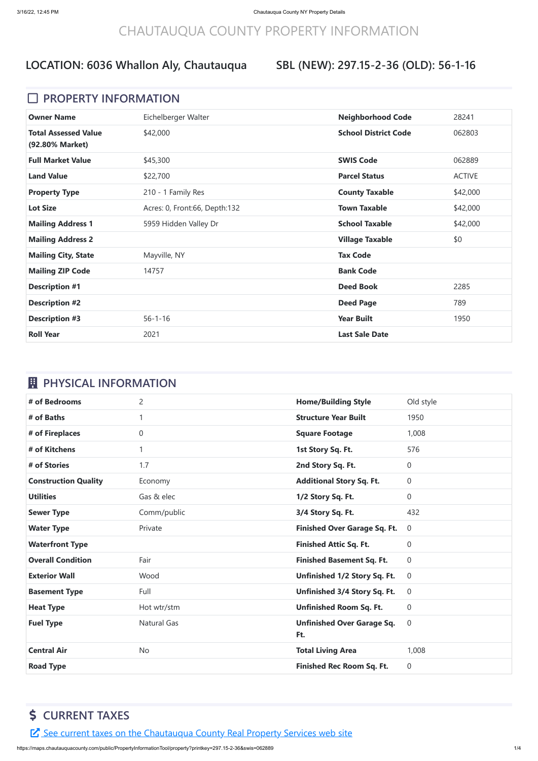## CHAUTAUQUA COUNTY PROPERTY INFORMATION

### **SBL (NEW): 297.15-2-36 (OLD): 56-1-16**

#### **D** PROPERTY INFORMATION

| <b>Owner Name</b>                              | Eichelberger Walter           | <b>Neighborhood Code</b>    | 28241         |
|------------------------------------------------|-------------------------------|-----------------------------|---------------|
| <b>Total Assessed Value</b><br>(92.80% Market) | \$42,000                      | <b>School District Code</b> | 062803        |
| <b>Full Market Value</b>                       | \$45,300                      | <b>SWIS Code</b>            | 062889        |
| <b>Land Value</b>                              | \$22,700                      | <b>Parcel Status</b>        | <b>ACTIVE</b> |
| <b>Property Type</b>                           | 210 - 1 Family Res            | <b>County Taxable</b>       | \$42,000      |
| <b>Lot Size</b>                                | Acres: 0, Front:66, Depth:132 | <b>Town Taxable</b>         | \$42,000      |
| <b>Mailing Address 1</b>                       | 5959 Hidden Valley Dr         | <b>School Taxable</b>       | \$42,000      |
| <b>Mailing Address 2</b>                       |                               | <b>Village Taxable</b>      | \$0           |
| <b>Mailing City, State</b>                     | Mayville, NY                  | <b>Tax Code</b>             |               |
| <b>Mailing ZIP Code</b>                        | 14757                         | <b>Bank Code</b>            |               |
| <b>Description #1</b>                          |                               | <b>Deed Book</b>            | 2285          |
| <b>Description #2</b>                          |                               | <b>Deed Page</b>            | 789           |
| <b>Description #3</b>                          | $56 - 1 - 16$                 | <b>Year Built</b>           | 1950          |
| <b>Roll Year</b>                               | 2021                          | <b>Last Sale Date</b>       |               |

## *EL* PHYSICAL INFORMATION

| # of Bedrooms               | $\overline{2}$     | <b>Home/Building Style</b>               | Old style      |
|-----------------------------|--------------------|------------------------------------------|----------------|
| # of Baths                  | 1                  | <b>Structure Year Built</b>              | 1950           |
| # of Fireplaces             | $\overline{0}$     | <b>Square Footage</b>                    | 1,008          |
| # of Kitchens               | 1                  | 1st Story Sq. Ft.                        | 576            |
| # of Stories                | 1.7                | 2nd Story Sq. Ft.                        | 0              |
| <b>Construction Quality</b> | Economy            | <b>Additional Story Sq. Ft.</b>          | $\overline{0}$ |
| <b>Utilities</b>            | Gas & elec         | 1/2 Story Sq. Ft.                        | 0              |
| <b>Sewer Type</b>           | Comm/public        | 3/4 Story Sq. Ft.                        | 432            |
| <b>Water Type</b>           | Private            | <b>Finished Over Garage Sq. Ft.</b>      | $\overline{0}$ |
| <b>Waterfront Type</b>      |                    | <b>Finished Attic Sq. Ft.</b>            | 0              |
| <b>Overall Condition</b>    | Fair               |                                          |                |
|                             |                    | <b>Finished Basement Sq. Ft.</b>         | $\overline{0}$ |
| <b>Exterior Wall</b>        | Wood               | Unfinished 1/2 Story Sq. Ft.             | $\overline{0}$ |
| <b>Basement Type</b>        | Full               | Unfinished 3/4 Story Sq. Ft.             | $\overline{0}$ |
| <b>Heat Type</b>            | Hot wtr/stm        | <b>Unfinished Room Sq. Ft.</b>           | 0              |
| <b>Fuel Type</b>            | <b>Natural Gas</b> | <b>Unfinished Over Garage Sq.</b><br>Ft. | $\overline{0}$ |
| <b>Central Air</b>          | <b>No</b>          | <b>Total Living Area</b>                 | 1,008          |

## **\$ CURRENT TAXES**

E See current taxes on the [Chautauqua](https://app.co.chautauqua.ny.us/cctaxonline/#/parcel/062889-297.15-2-36/current) County Real Property Services web site

https://maps.chautauquacounty.com/public/PropertyInformationTool/property?printkey=297.15-2-36&swis=062889 1/4

## **LOCATION: 6036 Whallon Aly, Chautauqua**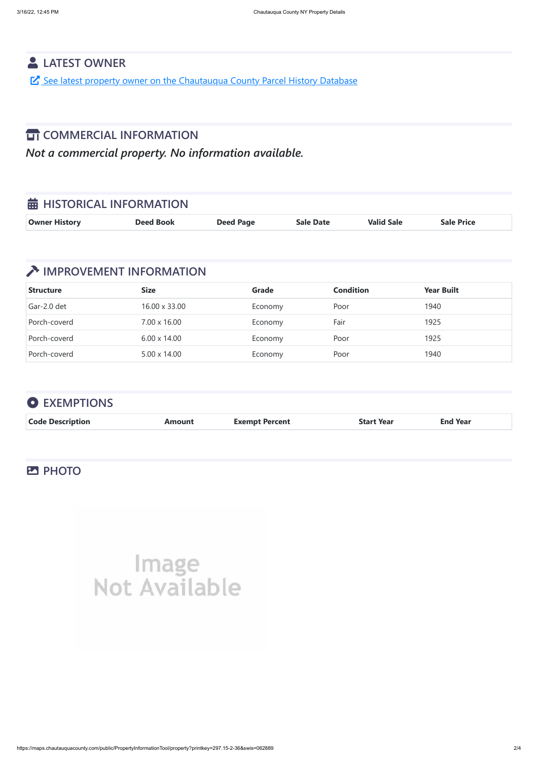https://maps.chautauquacounty.com/public/PropertyInformationTool/property?printkey=297.15-2-36&swis=062889 2/4

### **LATEST OWNER**

See latest property owner on the [Chautauqua](https://maps.chautauquacounty.com/Public/PHD/Default.aspx?ExternalRequest=true&phdPrintKey=297.15-2-36&phdSwiss=062889) County Parcel History Database

## **TT** COMMERCIAL INFORMATION

*Not a commercial property. No information available.*

| <b>苗 HISTORICAL INFORMATION</b> |                  |                  |                  |                   |                   |
|---------------------------------|------------------|------------------|------------------|-------------------|-------------------|
| <b>Owner History</b>            | <b>Deed Book</b> | <b>Deed Page</b> | <b>Sale Date</b> | <b>Valid Sale</b> | <b>Sale Price</b> |

## **THE IMPROVEMENT INFORMATION**

| <b>Structure</b> | <b>Size</b>         | Grade   | <b>Condition</b> | <b>Year Built</b> |
|------------------|---------------------|---------|------------------|-------------------|
| Gar-2.0 det      | 16.00 x 33.00       | Economy | Poor             | 1940              |
| Porch-coverd     | 7.00 x 16.00        | Economy | Fair             | 1925              |
| Porch-coverd     | $6.00 \times 14.00$ | Economy | Poor             | 1925              |
| Porch-coverd     | $5.00 \times 14.00$ | Economy | Poor             | 1940              |

| <b>O</b> EXEMPTIONS     |               |                       |                   |                 |
|-------------------------|---------------|-----------------------|-------------------|-----------------|
| <b>Code Description</b> | <b>Amount</b> | <b>Exempt Percent</b> | <b>Start Year</b> | <b>End Year</b> |

#### **PHOTO**



# Not Available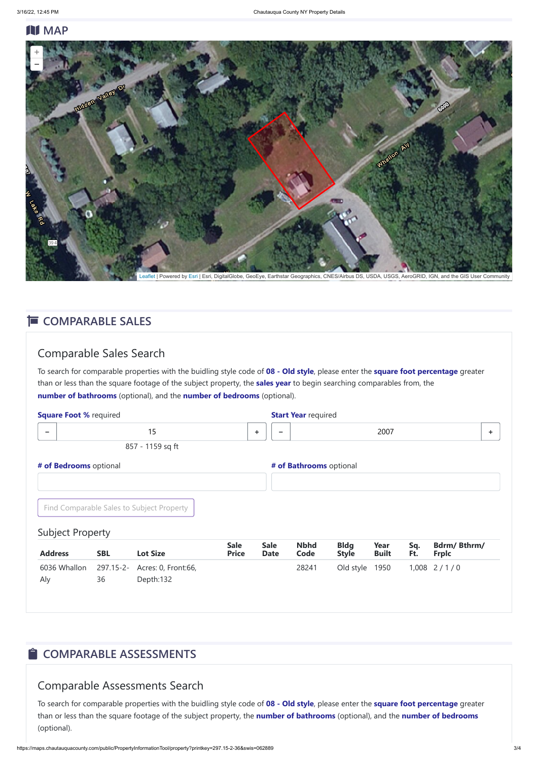#### **N** MAP

#### Comparable Sales Search

| <b>Square Foot % required</b> |            |                                           |                             |                            | <b>Start Year required</b> |                             |                      |            |                                    |    |
|-------------------------------|------------|-------------------------------------------|-----------------------------|----------------------------|----------------------------|-----------------------------|----------------------|------------|------------------------------------|----|
| $\overline{\phantom{m}}$      |            | 15                                        |                             | ÷                          | -                          |                             | 2007                 |            |                                    | ÷. |
|                               |            | 857 - 1159 sq ft                          |                             |                            |                            |                             |                      |            |                                    |    |
| # of Bedrooms optional        |            |                                           |                             |                            | # of Bathrooms optional    |                             |                      |            |                                    |    |
|                               |            | Find Comparable Sales to Subject Property |                             |                            |                            |                             |                      |            |                                    |    |
| <b>Subject Property</b>       |            |                                           |                             |                            |                            |                             |                      |            |                                    |    |
| <b>Address</b>                | <b>SBL</b> | <b>Lot Size</b>                           | <b>Sale</b><br><b>Price</b> | <b>Sale</b><br><b>Date</b> | <b>Nbhd</b><br>Code        | <b>Bldg</b><br><b>Style</b> | Year<br><b>Built</b> | Sq.<br>Ft. | <b>Bdrm/Bthrm/</b><br><b>Frplc</b> |    |
| 6036 Whallon                  |            | 297.15-2- Acres: 0, Front:66,             |                             |                            | 28241                      | Old style                   | 1950                 |            | $1,008$ 2/1/0                      |    |

To search for comparable properties with the buidling style code of **08 - Old style**, please enter the **square foot percentage** greater than or less than the square footage of the subject property, the **sales year** to begin searching comparables from, the **number of bathrooms** (optional), and the **number of bedrooms** (optional).

Aly 36 Depth:132

## $\hat{\blacksquare}$  **COMPARABLE ASSESSMENTS**

#### Comparable Assessments Search

To search for comparable properties with the buidling style code of **08 - Old style**, please enter the **square foot percentage** greater than or less than the square footage of the subject property, the **number of bathrooms** (optional), and the **number of bedrooms** (optional).



[Leaflet](http://leafletjs.com/) | Powered by [Esri](https://www.esri.com/) | Esri, DigitalGlobe, GeoEye, Earthstar Geographics, CNES/Airbus DS, USDA, USGS, AeroGRID, IGN, and the GIS User Community

#### **E** COMPARABLE SALES